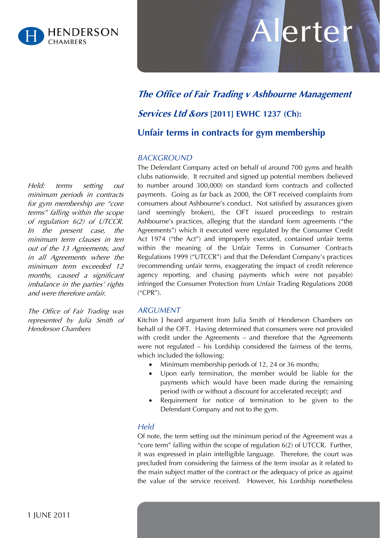

# Allerter

## **The Office of Fair Trading v Ashbourne Management**

### **Services Ltd &ors [2011] EWHC 1237 (Ch):**

**Unfair terms in contracts for gym membership**

#### *BACKGROUND*

The Defendant Company acted on behalf of around 700 gyms and health clubs nationwide. It recruited and signed up potential members (believed to number around 300,000) on standard form contracts and collected payments. Going as far back as 2000, the OFT received complaints from consumers about Ashbourne's conduct. Not satisfied by assurances given (and seemingly broken), the OFT issued proceedings to restrain Ashbourne's practices, alleging that the standard form agreements ("the Agreements") which it executed were regulated by the Consumer Credit Act 1974 ("the Act") and improperly executed, contained unfair terms within the meaning of the Unfair Terms in Consumer Contracts Regulations 1999 ("UTCCR") and that the Defendant Company's practices (recommending unfair terms, exaggerating the impact of credit reference agency reporting, and chasing payments which were not payable) infringed the Consumer Protection from Unfair Trading Regulations 2008 ("CPR").

#### *ARGUMENT*

Kitchin J heard argument from Julia Smith of Henderson Chambers on behalf of the OFT. Having determined that consumers were not provided with credit under the Agreements – and therefore that the Agreements were not regulated – his Lordship considered the fairness of the terms, which included the following:

- Minimum membership periods of 12, 24 or 36 months;
- Upon early termination, the member would be liable for the payments which would have been made during the remaining period (with or without a discount for accelerated receipt); and
- Requirement for notice of termination to be given to the Defendant Company and not to the gym.

#### *Held*

Of note, the term setting out the minimum period of the Agreement was a "core term" falling within the scope of regulation  $6(2)$  of UTCCR. Further, it was expressed in plain intelligible language. Therefore, the court was precluded from considering the fairness of the term insofar as it related to the main subject matter of the contract or the adequacy of price as against the value of the service received. However, his Lordship nonetheless

Held: terms setting out minimum periods in contracts for gym membership are "core terms" falling within the scope of regulation 6(2) of UTCCR. In the present case, the minimum term clauses in ten out of the 13 Agreements, and in all Agreements where the minimum term exceeded 12 months, caused a significant imbalance in the parties' rights and were therefore unfair.

The Office of Fair Trading was represented by Julia Smith of Henderson Chambers